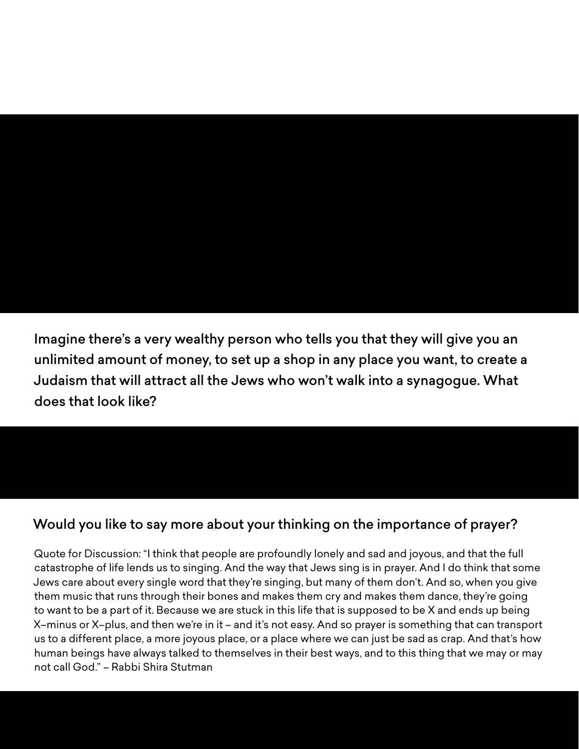# SESSION 5

## Questions and Answers

### **1. IF YOU HAD UNLIMITED FUNDS TO LAUNCH SOMETHING NEW...**

Imagine there's a very wealthy person who tells you that they will give you an unlimited amount of money, to set up a shop in any place you want, to create a Judaism that will attract all the Jews who won't walk into a synagogue. What does that look like?

#### **2. PRAYER**

#### Would you like to say more about your thinking on the importance of prayer?

Quote for Discussion: "I think that people are profoundly lonely and sad and joyous, and that the full catastrophe of life lends us to singing. And the way that Jews sing is in prayer. And I do think that some Jews care about every single word that they're singing, but many of them don't. And so, when you give them music that runs through their bones and makes them cry and makes them dance, they're going to want to be a part of it. Because we are stuck in this life that is supposed to be X and ends up being X–minus or X–plus, and then we're in it – and it's not easy. And so prayer is something that can transport us to a different place, a more joyous place, or a place where we can just be sad as crap. And that's how human beings have always talked to themselves in their best ways, and to this thing that we may or may not call God." – Rabbi Shira Stutman

#### ReconstructingJudaism.org/Community-Panel